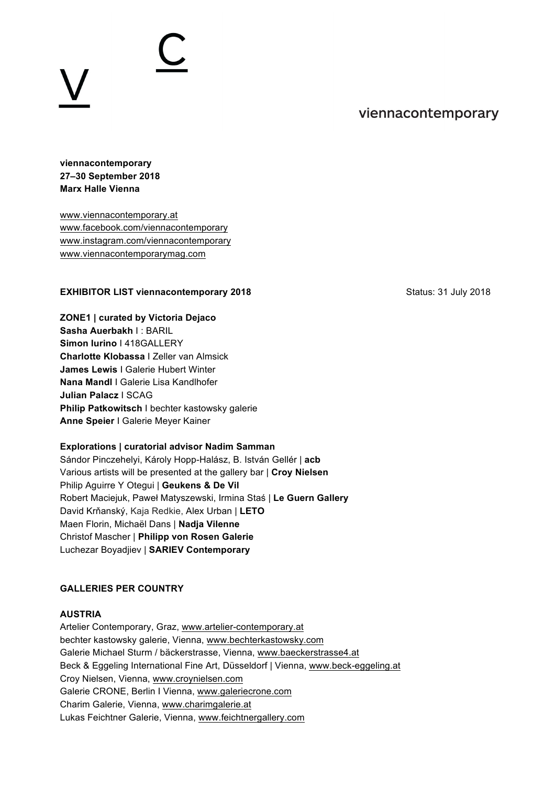# viennacontemporary

# **viennacontemporary 27–30 September 2018 Marx Halle Vienna**

www.viennacontemporary.at www.facebook.com/viennacontemporary www.instagram.com/viennacontemporary www.viennacontemporarymag.com

### **EXHIBITOR LIST viennacontemporary 2018** Status: 31 July 2018

**ZONE1 | curated by Victoria Dejaco Sasha Auerbakh** I : BARIL **Simon Iurino** I 418GALLERY **Charlotte Klobassa** I Zeller van Almsick **James Lewis** I Galerie Hubert Winter **Nana Mandl** I Galerie Lisa Kandlhofer **Julian Palacz** I SCAG **Philip Patkowitsch** I bechter kastowsky galerie **Anne Speier** I Galerie Meyer Kainer

#### **Explorations | curatorial advisor Nadim Samman**

Sándor Pinczehelyi, Károly Hopp-Halász, B. István Gellér | **acb** Various artists will be presented at the gallery bar | **Croy Nielsen** Philip Aguirre Y Otegui | **Geukens & De Vil** Robert Maciejuk, Paweł Matyszewski, Irmina Staś | **Le Guern Gallery** David Krňanský, Kaja Redkie, Alex Urban | **LETO** Maen Florin, Michaël Dans | **Nadja Vilenne** Christof Mascher | **Philipp von Rosen Galerie** Luchezar Boyadjiev | **SARIEV Contemporary**

### **GALLERIES PER COUNTRY**

#### **AUSTRIA**

Artelier Contemporary, Graz, www.artelier-contemporary.at bechter kastowsky galerie, Vienna, www.bechterkastowsky.com Galerie Michael Sturm / bäckerstrasse, Vienna, www.baeckerstrasse4.at Beck & Eggeling International Fine Art, Düsseldorf | Vienna, www.beck-eggeling.at Croy Nielsen, Vienna, www.croynielsen.com Galerie CRONE, Berlin I Vienna, www.galeriecrone.com Charim Galerie, Vienna, www.charimgalerie.at Lukas Feichtner Galerie, Vienna, www.feichtnergallery.com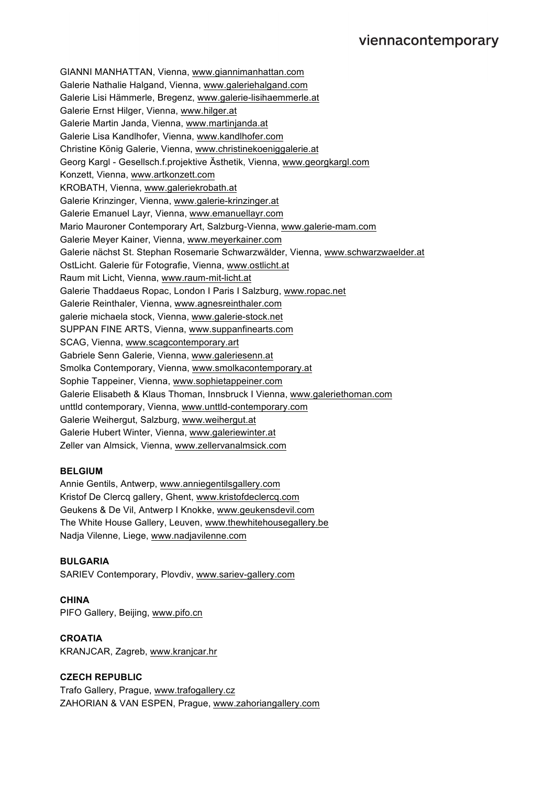GIANNI MANHATTAN, Vienna, www.giannimanhattan.com Galerie Nathalie Halgand, Vienna, www.galeriehalgand.com Galerie Lisi Hämmerle, Bregenz, www.galerie-lisihaemmerle.at Galerie Ernst Hilger, Vienna, www.hilger.at Galerie Martin Janda, Vienna, www.martinjanda.at Galerie Lisa Kandlhofer, Vienna, www.kandlhofer.com Christine König Galerie, Vienna, www.christinekoeniggalerie.at Georg Kargl - Gesellsch.f.projektive Ästhetik, Vienna, www.georgkargl.com Konzett, Vienna, www.artkonzett.com KROBATH, Vienna, www.galeriekrobath.at Galerie Krinzinger, Vienna, www.galerie-krinzinger.at Galerie Emanuel Layr, Vienna, www.emanuellayr.com Mario Mauroner Contemporary Art, Salzburg-Vienna, www.galerie-mam.com Galerie Meyer Kainer, Vienna, www.meyerkainer.com Galerie nächst St. Stephan Rosemarie Schwarzwälder, Vienna, www.schwarzwaelder.at OstLicht. Galerie für Fotografie, Vienna, www.ostlicht.at Raum mit Licht, Vienna, www.raum-mit-licht.at Galerie Thaddaeus Ropac, London I Paris I Salzburg, www.ropac.net Galerie Reinthaler, Vienna, www.agnesreinthaler.com galerie michaela stock, Vienna, www.galerie-stock.net SUPPAN FINE ARTS, Vienna, www.suppanfinearts.com SCAG, Vienna, www.scagcontemporary.art Gabriele Senn Galerie, Vienna, www.galeriesenn.at Smolka Contemporary, Vienna, www.smolkacontemporary.at Sophie Tappeiner, Vienna, www.sophietappeiner.com Galerie Elisabeth & Klaus Thoman, Innsbruck I Vienna, www.galeriethoman.com unttld contemporary, Vienna, www.unttld-contemporary.com Galerie Weihergut, Salzburg, www.weihergut.at Galerie Hubert Winter, Vienna, www.galeriewinter.at Zeller van Almsick, Vienna, www.zellervanalmsick.com

# **BELGIUM**

Annie Gentils, Antwerp, www.anniegentilsgallery.com Kristof De Clercq gallery, Ghent, www.kristofdeclercq.com Geukens & De Vil, Antwerp I Knokke, www.geukensdevil.com The White House Gallery, Leuven, www.thewhitehousegallery.be Nadja Vilenne, Liege, www.nadjavilenne.com

#### **BULGARIA**

SARIEV Contemporary, Plovdiv, www.sariev-gallery.com

**CHINA** PIFO Gallery, Beijing, www.pifo.cn

# **CROATIA**

KRANJCAR, Zagreb, www.kranjcar.hr

#### **CZECH REPUBLIC**

Trafo Gallery, Prague, www.trafogallery.cz ZAHORIAN & VAN ESPEN, Prague, www.zahoriangallery.com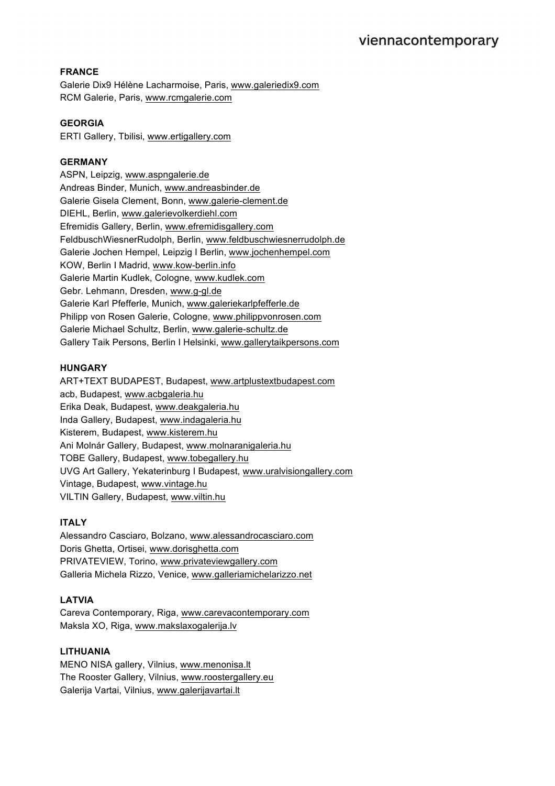# **FRANCE**

Galerie Dix9 Hélène Lacharmoise, Paris, www.galeriedix9.com RCM Galerie, Paris, www.rcmgalerie.com

### **GEORGIA**

ERTI Gallery, Tbilisi, www.ertigallery.com

# **GERMANY**

ASPN, Leipzig, www.aspngalerie.de Andreas Binder, Munich, www.andreasbinder.de Galerie Gisela Clement, Bonn, www.galerie-clement.de DIEHL, Berlin, www.galerievolkerdiehl.com Efremidis Gallery, Berlin, www.efremidisgallery.com FeldbuschWiesnerRudolph, Berlin, www.feldbuschwiesnerrudolph.de Galerie Jochen Hempel, Leipzig I Berlin, www.jochenhempel.com KOW, Berlin I Madrid, www.kow-berlin.info Galerie Martin Kudlek, Cologne, www.kudlek.com Gebr. Lehmann, Dresden, www.g-gl.de Galerie Karl Pfefferle, Munich, www.galeriekarlpfefferle.de Philipp von Rosen Galerie, Cologne, www.philippvonrosen.com Galerie Michael Schultz, Berlin, www.galerie-schultz.de Gallery Taik Persons, Berlin I Helsinki, www.gallerytaikpersons.com

### **HUNGARY**

ART+TEXT BUDAPEST, Budapest, www.artplustextbudapest.com acb, Budapest, www.acbgaleria.hu Erika Deak, Budapest, www.deakgaleria.hu Inda Gallery, Budapest, www.indagaleria.hu Kisterem, Budapest, www.kisterem.hu Ani Molnár Gallery, Budapest, www.molnaranigaleria.hu TOBE Gallery, Budapest, www.tobegallery.hu UVG Art Gallery, Yekaterinburg I Budapest, www.uralvisiongallery.com Vintage, Budapest, www.vintage.hu VILTIN Gallery, Budapest, www.viltin.hu

# **ITALY**

Alessandro Casciaro, Bolzano, www.alessandrocasciaro.com Doris Ghetta, Ortisei, www.dorisghetta.com PRIVATEVIEW, Torino, www.privateviewgallery.com Galleria Michela Rizzo, Venice, www.galleriamichelarizzo.net

# **LATVIA**

Careva Contemporary, Riga, www.carevacontemporary.com Maksla XO, Riga, www.makslaxogalerija.lv

#### **LITHUANIA**

MENO NISA gallery, Vilnius, www.menonisa.lt The Rooster Gallery, Vilnius, www.roostergallery.eu Galerija Vartai, Vilnius, www.galerijavartai.lt